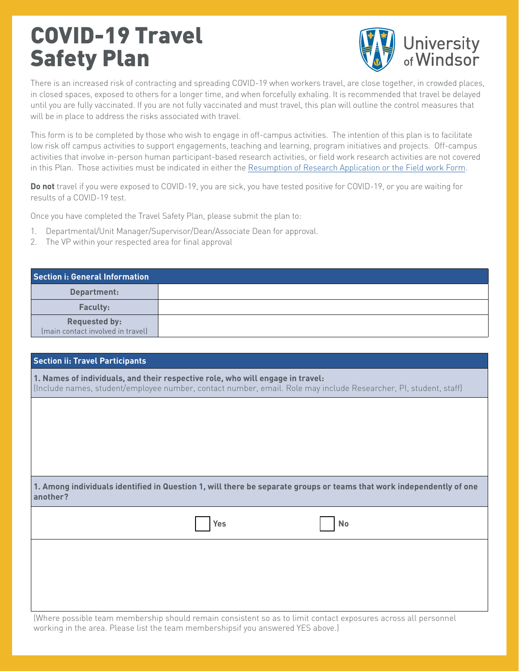## COVID-19 Travel Safety Plan



There is an increased risk of contracting and spreading COVID-19 when workers travel, are close together, in crowded places, in closed spaces, exposed to others for a longer time, and when forcefully exhaling. It is recommended that travel be delayed until you are fully vaccinated. If you are not fully vaccinated and must travel, this plan will outline the control measures that will be in place to address the risks associated with travel.

This form is to be completed by those who wish to engage in off-campus activities. The intention of this plan is to facilitate low risk off campus activities to support engagements, teaching and learning, program initiatives and projects. Off-campus activities that involve in-person human participant-based research activities, or field work research activities are not covered in this Plan. Those activities must be indicated in either the [Resumption of Research Application or the Field work Form](mailto:https://www.uwindsor.ca/vp-research/362/resumption-research-application-and-forms?subject=).

**Do not** travel if you were exposed to COVID-19, you are sick, you have tested positive for COVID-19, or you are waiting for results of a COVID-19 test.

Once you have completed the Travel Safety Plan, please submit the plan to:

- 1. Departmental/Unit Manager/Supervisor/Dean/Associate Dean for approval.
- 2. The VP within your respected area for final approval

| Section i: General Information                            |  |
|-----------------------------------------------------------|--|
| Department:                                               |  |
| <b>Faculty:</b>                                           |  |
| <b>Requested by:</b><br>(main contact involved in travel) |  |

| <b>Section ii: Travel Participants</b>                                                                                                                                                             |  |  |  |  |
|----------------------------------------------------------------------------------------------------------------------------------------------------------------------------------------------------|--|--|--|--|
| 1. Names of individuals, and their respective role, who will engage in travel:<br>(Include names, student/employee number, contact number, email. Role may include Researcher, PI, student, staff) |  |  |  |  |
|                                                                                                                                                                                                    |  |  |  |  |
|                                                                                                                                                                                                    |  |  |  |  |
|                                                                                                                                                                                                    |  |  |  |  |
| 1. Among individuals identified in Question 1, will there be separate groups or teams that work independently of one<br>another?                                                                   |  |  |  |  |
| Yes<br>No                                                                                                                                                                                          |  |  |  |  |
|                                                                                                                                                                                                    |  |  |  |  |
|                                                                                                                                                                                                    |  |  |  |  |
| (Where possible team membership should remain consistent so as to limit contact exposures across all personnel                                                                                     |  |  |  |  |

working in the area. Please list the team membershipsif you answered YES above.)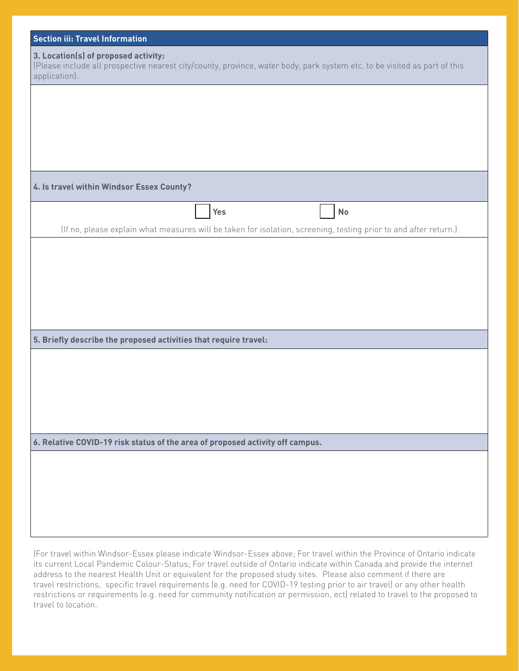| <b>Section iii: Travel Information</b>                                                                                                                                             |  |  |  |  |
|------------------------------------------------------------------------------------------------------------------------------------------------------------------------------------|--|--|--|--|
| 3. Location(s) of proposed activity:<br>(Please include all prospective nearest city/county, province, water body, park system etc. to be visited as part of this<br>application). |  |  |  |  |
|                                                                                                                                                                                    |  |  |  |  |
|                                                                                                                                                                                    |  |  |  |  |
|                                                                                                                                                                                    |  |  |  |  |
| 4. Is travel within Windsor Essex County?                                                                                                                                          |  |  |  |  |
| Yes<br>No                                                                                                                                                                          |  |  |  |  |
| (If no, please explain what measures will be taken for isolation, screening, testing prior to and after return.)                                                                   |  |  |  |  |
|                                                                                                                                                                                    |  |  |  |  |
|                                                                                                                                                                                    |  |  |  |  |
|                                                                                                                                                                                    |  |  |  |  |
|                                                                                                                                                                                    |  |  |  |  |
|                                                                                                                                                                                    |  |  |  |  |
| 5. Briefly describe the proposed activities that require travel:                                                                                                                   |  |  |  |  |
|                                                                                                                                                                                    |  |  |  |  |
|                                                                                                                                                                                    |  |  |  |  |
|                                                                                                                                                                                    |  |  |  |  |
|                                                                                                                                                                                    |  |  |  |  |
|                                                                                                                                                                                    |  |  |  |  |
| 6. Relative COVID-19 risk status of the area of proposed activity off campus.                                                                                                      |  |  |  |  |
|                                                                                                                                                                                    |  |  |  |  |
|                                                                                                                                                                                    |  |  |  |  |
|                                                                                                                                                                                    |  |  |  |  |
|                                                                                                                                                                                    |  |  |  |  |
| (For travel within Windsor-Essex please indicate Windsor-Essex above; For travel within the Province of Ontario indicate                                                           |  |  |  |  |

its current Local Pandemic Colour-Status; For travel outside of Ontario indicate within Canada and provide the internet address to the nearest Health Unit or equivalent for the proposed study sites. Please also comment if there are travel restrictions, specific travel requirements (e.g. need for COVID-19 testing prior to air travel) or any other health restrictions or requirements (e.g. need for community notification or permission, ect) related to travel to the proposed to travel to location.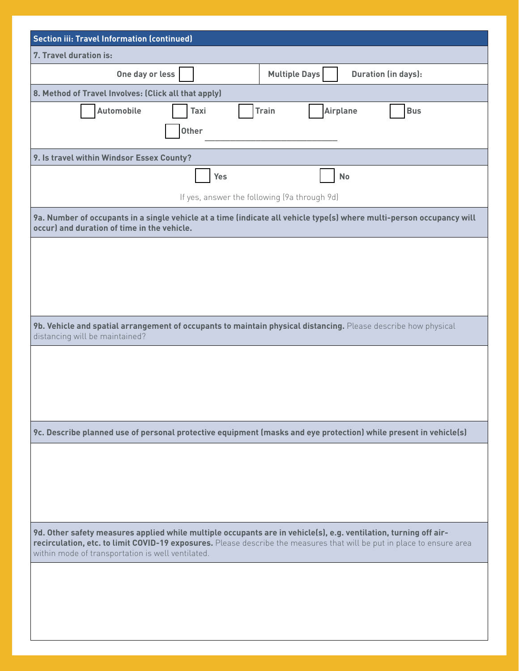| <b>Section iii: Travel Information (continued)</b>                                                                                                                                                                                                                                              |  |  |  |  |  |  |
|-------------------------------------------------------------------------------------------------------------------------------------------------------------------------------------------------------------------------------------------------------------------------------------------------|--|--|--|--|--|--|
| 7. Travel duration is:                                                                                                                                                                                                                                                                          |  |  |  |  |  |  |
| One day or less<br><b>Multiple Days</b><br><b>Duration (in days):</b>                                                                                                                                                                                                                           |  |  |  |  |  |  |
| 8. Method of Travel Involves: (Click all that apply)                                                                                                                                                                                                                                            |  |  |  |  |  |  |
| <b>Automobile</b><br><b>Airplane</b><br><b>Train</b><br><b>Bus</b><br>Taxi                                                                                                                                                                                                                      |  |  |  |  |  |  |
| <b>Other</b>                                                                                                                                                                                                                                                                                    |  |  |  |  |  |  |
|                                                                                                                                                                                                                                                                                                 |  |  |  |  |  |  |
| 9. Is travel within Windsor Essex County?                                                                                                                                                                                                                                                       |  |  |  |  |  |  |
| <b>Yes</b><br><b>No</b>                                                                                                                                                                                                                                                                         |  |  |  |  |  |  |
| If yes, answer the following (9a through 9d)                                                                                                                                                                                                                                                    |  |  |  |  |  |  |
| 9a. Number of occupants in a single vehicle at a time (indicate all vehicle type(s) where multi-person occupancy will<br>occur) and duration of time in the vehicle.                                                                                                                            |  |  |  |  |  |  |
|                                                                                                                                                                                                                                                                                                 |  |  |  |  |  |  |
|                                                                                                                                                                                                                                                                                                 |  |  |  |  |  |  |
|                                                                                                                                                                                                                                                                                                 |  |  |  |  |  |  |
|                                                                                                                                                                                                                                                                                                 |  |  |  |  |  |  |
|                                                                                                                                                                                                                                                                                                 |  |  |  |  |  |  |
| 9b. Vehicle and spatial arrangement of occupants to maintain physical distancing. Please describe how physical<br>distancing will be maintained?                                                                                                                                                |  |  |  |  |  |  |
|                                                                                                                                                                                                                                                                                                 |  |  |  |  |  |  |
|                                                                                                                                                                                                                                                                                                 |  |  |  |  |  |  |
|                                                                                                                                                                                                                                                                                                 |  |  |  |  |  |  |
|                                                                                                                                                                                                                                                                                                 |  |  |  |  |  |  |
| 9c. Describe planned use of personal protective equipment (masks and eye protection) while present in vehicle(s)                                                                                                                                                                                |  |  |  |  |  |  |
|                                                                                                                                                                                                                                                                                                 |  |  |  |  |  |  |
|                                                                                                                                                                                                                                                                                                 |  |  |  |  |  |  |
|                                                                                                                                                                                                                                                                                                 |  |  |  |  |  |  |
|                                                                                                                                                                                                                                                                                                 |  |  |  |  |  |  |
|                                                                                                                                                                                                                                                                                                 |  |  |  |  |  |  |
| 9d. Other safety measures applied while multiple occupants are in vehicle(s), e.g. ventilation, turning off air-<br>recirculation, etc. to limit COVID-19 exposures. Please describe the measures that will be put in place to ensure area<br>within mode of transportation is well ventilated. |  |  |  |  |  |  |
|                                                                                                                                                                                                                                                                                                 |  |  |  |  |  |  |
|                                                                                                                                                                                                                                                                                                 |  |  |  |  |  |  |
|                                                                                                                                                                                                                                                                                                 |  |  |  |  |  |  |
|                                                                                                                                                                                                                                                                                                 |  |  |  |  |  |  |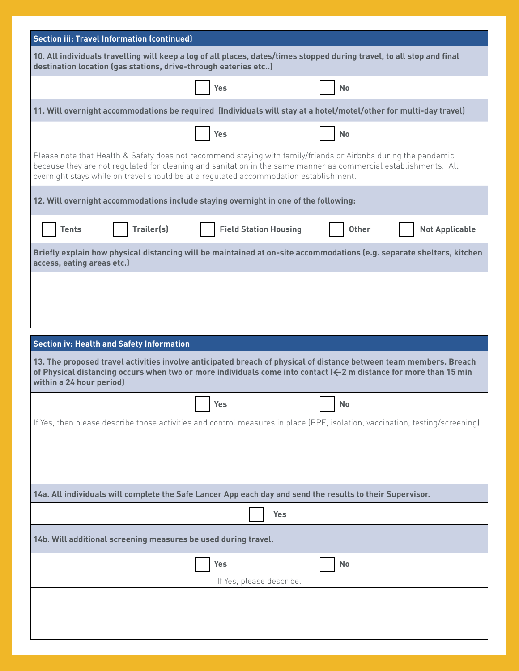|                                                                                                                                                                                           | <b>Section iii: Travel Information (continued)</b>                                                                |                                                                                                                                                                                                                                                                                                                            |              |                       |  |
|-------------------------------------------------------------------------------------------------------------------------------------------------------------------------------------------|-------------------------------------------------------------------------------------------------------------------|----------------------------------------------------------------------------------------------------------------------------------------------------------------------------------------------------------------------------------------------------------------------------------------------------------------------------|--------------|-----------------------|--|
| 10. All individuals travelling will keep a log of all places, dates/times stopped during travel, to all stop and final<br>destination location (gas stations, drive-through eateries etc) |                                                                                                                   |                                                                                                                                                                                                                                                                                                                            |              |                       |  |
|                                                                                                                                                                                           |                                                                                                                   | Yes                                                                                                                                                                                                                                                                                                                        | <b>No</b>    |                       |  |
|                                                                                                                                                                                           | 11. Will overnight accommodations be required (Individuals will stay at a hotel/motel/other for multi-day travel) |                                                                                                                                                                                                                                                                                                                            |              |                       |  |
|                                                                                                                                                                                           |                                                                                                                   | Yes                                                                                                                                                                                                                                                                                                                        | <b>No</b>    |                       |  |
|                                                                                                                                                                                           |                                                                                                                   | Please note that Health & Safety does not recommend staying with family/friends or Airbnbs during the pandemic<br>because they are not regulated for cleaning and sanitation in the same manner as commercial establishments. All<br>overnight stays while on travel should be at a regulated accommodation establishment. |              |                       |  |
|                                                                                                                                                                                           |                                                                                                                   | 12. Will overnight accommodations include staying overnight in one of the following:                                                                                                                                                                                                                                       |              |                       |  |
| <b>Tents</b>                                                                                                                                                                              | Trailer(s)                                                                                                        | <b>Field Station Housing</b>                                                                                                                                                                                                                                                                                               | <b>Other</b> | <b>Not Applicable</b> |  |
| Briefly explain how physical distancing will be maintained at on-site accommodations (e.g. separate shelters, kitchen<br>access, eating areas etc.)                                       |                                                                                                                   |                                                                                                                                                                                                                                                                                                                            |              |                       |  |
|                                                                                                                                                                                           |                                                                                                                   |                                                                                                                                                                                                                                                                                                                            |              |                       |  |
|                                                                                                                                                                                           |                                                                                                                   |                                                                                                                                                                                                                                                                                                                            |              |                       |  |
|                                                                                                                                                                                           |                                                                                                                   |                                                                                                                                                                                                                                                                                                                            |              |                       |  |
| <b>Section iv: Health and Safety Information</b>                                                                                                                                          |                                                                                                                   |                                                                                                                                                                                                                                                                                                                            |              |                       |  |
|                                                                                                                                                                                           |                                                                                                                   |                                                                                                                                                                                                                                                                                                                            |              |                       |  |
| within a 24 hour period)                                                                                                                                                                  |                                                                                                                   | 13. The proposed travel activities involve anticipated breach of physical of distance between team members. Breach<br>of Physical distancing occurs when two or more individuals come into contact ( $\leftarrow$ 2 m distance for more than 15 min                                                                        |              |                       |  |
|                                                                                                                                                                                           |                                                                                                                   | Yes                                                                                                                                                                                                                                                                                                                        | <b>No</b>    |                       |  |
|                                                                                                                                                                                           |                                                                                                                   | If Yes, then please describe those activities and control measures in place (PPE, isolation, vaccination, testing/screening).                                                                                                                                                                                              |              |                       |  |
|                                                                                                                                                                                           |                                                                                                                   |                                                                                                                                                                                                                                                                                                                            |              |                       |  |
|                                                                                                                                                                                           |                                                                                                                   | 14a. All individuals will complete the Safe Lancer App each day and send the results to their Supervisor.                                                                                                                                                                                                                  |              |                       |  |
|                                                                                                                                                                                           |                                                                                                                   | <b>Yes</b>                                                                                                                                                                                                                                                                                                                 |              |                       |  |
|                                                                                                                                                                                           | 14b. Will additional screening measures be used during travel.                                                    |                                                                                                                                                                                                                                                                                                                            |              |                       |  |
|                                                                                                                                                                                           |                                                                                                                   | <b>Yes</b><br>If Yes, please describe.                                                                                                                                                                                                                                                                                     | No           |                       |  |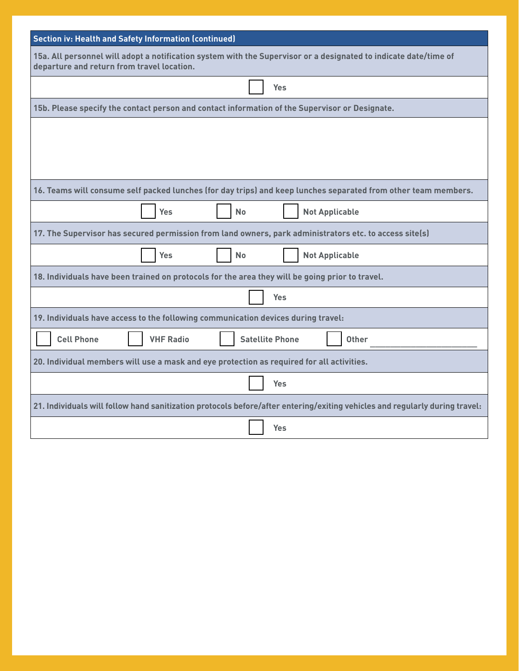| <b>Section iv: Health and Safety Information (continued)</b>                                                                                                   |  |  |  |  |
|----------------------------------------------------------------------------------------------------------------------------------------------------------------|--|--|--|--|
| 15a. All personnel will adopt a notification system with the Supervisor or a designated to indicate date/time of<br>departure and return from travel location. |  |  |  |  |
| Yes                                                                                                                                                            |  |  |  |  |
| 15b. Please specify the contact person and contact information of the Supervisor or Designate.                                                                 |  |  |  |  |
|                                                                                                                                                                |  |  |  |  |
|                                                                                                                                                                |  |  |  |  |
|                                                                                                                                                                |  |  |  |  |
| 16. Teams will consume self packed lunches (for day trips) and keep lunches separated from other team members.                                                 |  |  |  |  |
| <b>Not Applicable</b><br><b>Yes</b><br><b>No</b>                                                                                                               |  |  |  |  |
| 17. The Supervisor has secured permission from land owners, park administrators etc. to access site(s)                                                         |  |  |  |  |
| <b>Yes</b><br><b>No</b><br><b>Not Applicable</b>                                                                                                               |  |  |  |  |
| 18. Individuals have been trained on protocols for the area they will be going prior to travel.                                                                |  |  |  |  |
| <b>Yes</b>                                                                                                                                                     |  |  |  |  |
| 19. Individuals have access to the following communication devices during travel:                                                                              |  |  |  |  |
| <b>Cell Phone</b><br><b>VHF Radio</b><br><b>Satellite Phone</b><br><b>Other</b>                                                                                |  |  |  |  |
| 20. Individual members will use a mask and eye protection as required for all activities.                                                                      |  |  |  |  |
| <b>Yes</b>                                                                                                                                                     |  |  |  |  |
| 21. Individuals will follow hand sanitization protocols before/after entering/exiting vehicles and regularly during travel:                                    |  |  |  |  |
| Yes                                                                                                                                                            |  |  |  |  |